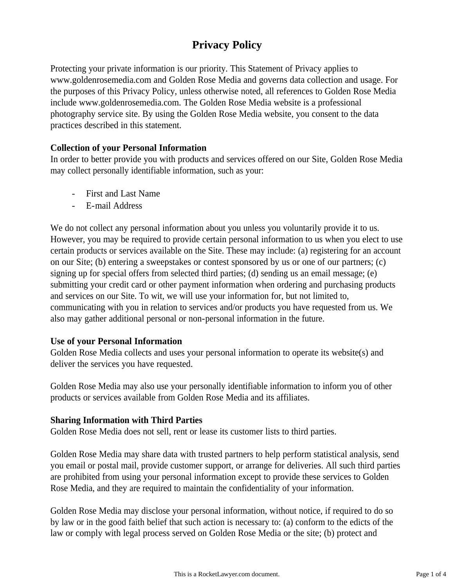# **Privacy Policy**

Protecting your private information is our priority. This Statement of Privacy applies to www.goldenrosemedia.com and Golden Rose Media and governs data collection and usage. For the purposes of this Privacy Policy, unless otherwise noted, all references to Golden Rose Media include www.goldenrosemedia.com. The Golden Rose Media website is a professional photography service site. By using the Golden Rose Media website, you consent to the data practices described in this statement.

#### **Collection of your Personal Information**

In order to better provide you with products and services offered on our Site, Golden Rose Media may collect personally identifiable information, such as your:

- First and Last Name
- E-mail Address

We do not collect any personal information about you unless you voluntarily provide it to us. However, you may be required to provide certain personal information to us when you elect to use certain products or services available on the Site. These may include: (a) registering for an account on our Site; (b) entering a sweepstakes or contest sponsored by us or one of our partners; (c) signing up for special offers from selected third parties; (d) sending us an email message; (e) submitting your credit card or other payment information when ordering and purchasing products and services on our Site. To wit, we will use your information for, but not limited to, communicating with you in relation to services and/or products you have requested from us. We also may gather additional personal or non-personal information in the future.

#### **Use of your Personal Information**

Golden Rose Media collects and uses your personal information to operate its website(s) and deliver the services you have requested.

Golden Rose Media may also use your personally identifiable information to inform you of other products or services available from Golden Rose Media and its affiliates.

#### **Sharing Information with Third Parties**

Golden Rose Media does not sell, rent or lease its customer lists to third parties.

Golden Rose Media may share data with trusted partners to help perform statistical analysis, send you email or postal mail, provide customer support, or arrange for deliveries. All such third parties are prohibited from using your personal information except to provide these services to Golden Rose Media, and they are required to maintain the confidentiality of your information.

Golden Rose Media may disclose your personal information, without notice, if required to do so by law or in the good faith belief that such action is necessary to: (a) conform to the edicts of the law or comply with legal process served on Golden Rose Media or the site; (b) protect and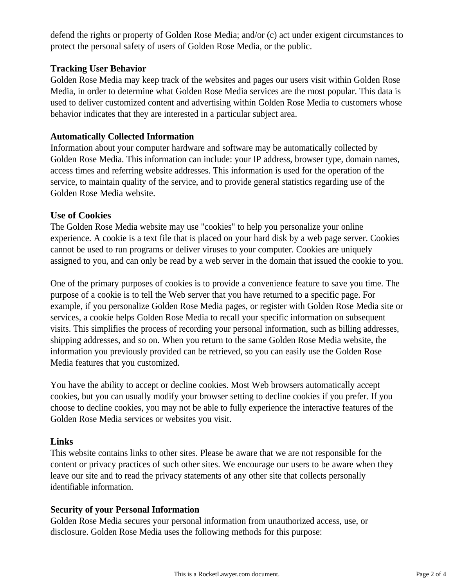defend the rights or property of Golden Rose Media; and/or (c) act under exigent circumstances to protect the personal safety of users of Golden Rose Media, or the public.

# **Tracking User Behavior**

Golden Rose Media may keep track of the websites and pages our users visit within Golden Rose Media, in order to determine what Golden Rose Media services are the most popular. This data is used to deliver customized content and advertising within Golden Rose Media to customers whose behavior indicates that they are interested in a particular subject area.

# **Automatically Collected Information**

Information about your computer hardware and software may be automatically collected by Golden Rose Media. This information can include: your IP address, browser type, domain names, access times and referring website addresses. This information is used for the operation of the service, to maintain quality of the service, and to provide general statistics regarding use of the Golden Rose Media website.

## **Use of Cookies**

The Golden Rose Media website may use "cookies" to help you personalize your online experience. A cookie is a text file that is placed on your hard disk by a web page server. Cookies cannot be used to run programs or deliver viruses to your computer. Cookies are uniquely assigned to you, and can only be read by a web server in the domain that issued the cookie to you.

One of the primary purposes of cookies is to provide a convenience feature to save you time. The purpose of a cookie is to tell the Web server that you have returned to a specific page. For example, if you personalize Golden Rose Media pages, or register with Golden Rose Media site or services, a cookie helps Golden Rose Media to recall your specific information on subsequent visits. This simplifies the process of recording your personal information, such as billing addresses, shipping addresses, and so on. When you return to the same Golden Rose Media website, the information you previously provided can be retrieved, so you can easily use the Golden Rose Media features that you customized.

You have the ability to accept or decline cookies. Most Web browsers automatically accept cookies, but you can usually modify your browser setting to decline cookies if you prefer. If you choose to decline cookies, you may not be able to fully experience the interactive features of the Golden Rose Media services or websites you visit.

## **Links**

This website contains links to other sites. Please be aware that we are not responsible for the content or privacy practices of such other sites. We encourage our users to be aware when they leave our site and to read the privacy statements of any other site that collects personally identifiable information.

## **Security of your Personal Information**

Golden Rose Media secures your personal information from unauthorized access, use, or disclosure. Golden Rose Media uses the following methods for this purpose: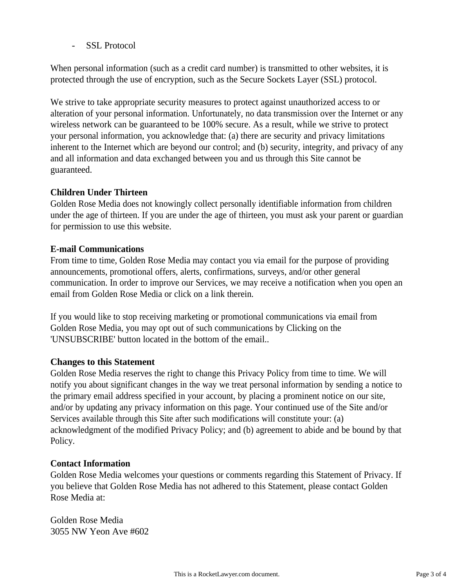- SSL Protocol

When personal information (such as a credit card number) is transmitted to other websites, it is protected through the use of encryption, such as the Secure Sockets Layer (SSL) protocol.

We strive to take appropriate security measures to protect against unauthorized access to or alteration of your personal information. Unfortunately, no data transmission over the Internet or any wireless network can be guaranteed to be 100% secure. As a result, while we strive to protect your personal information, you acknowledge that: (a) there are security and privacy limitations inherent to the Internet which are beyond our control; and (b) security, integrity, and privacy of any and all information and data exchanged between you and us through this Site cannot be guaranteed.

# **Children Under Thirteen**

Golden Rose Media does not knowingly collect personally identifiable information from children under the age of thirteen. If you are under the age of thirteen, you must ask your parent or guardian for permission to use this website.

## **E-mail Communications**

From time to time, Golden Rose Media may contact you via email for the purpose of providing announcements, promotional offers, alerts, confirmations, surveys, and/or other general communication. In order to improve our Services, we may receive a notification when you open an email from Golden Rose Media or click on a link therein.

If you would like to stop receiving marketing or promotional communications via email from Golden Rose Media, you may opt out of such communications by Clicking on the 'UNSUBSCRIBE' button located in the bottom of the email..

#### **Changes to this Statement**

Golden Rose Media reserves the right to change this Privacy Policy from time to time. We will notify you about significant changes in the way we treat personal information by sending a notice to the primary email address specified in your account, by placing a prominent notice on our site, and/or by updating any privacy information on this page. Your continued use of the Site and/or Services available through this Site after such modifications will constitute your: (a) acknowledgment of the modified Privacy Policy; and (b) agreement to abide and be bound by that Policy.

#### **Contact Information**

Golden Rose Media welcomes your questions or comments regarding this Statement of Privacy. If you believe that Golden Rose Media has not adhered to this Statement, please contact Golden Rose Media at:

Golden Rose Media 3055 NW Yeon Ave #602